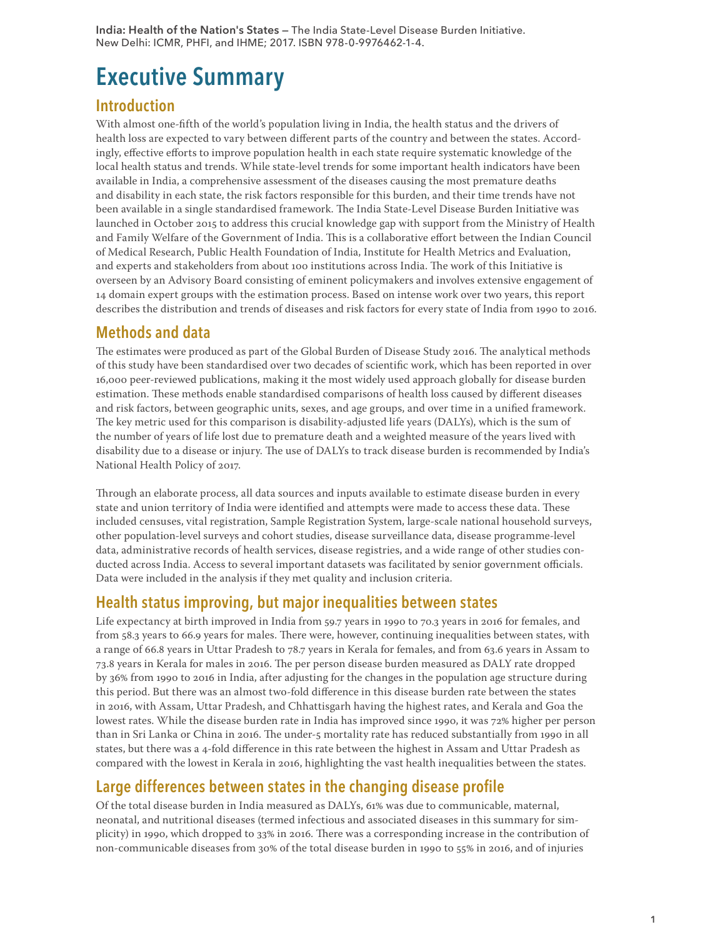India: Health of the Nation's States — The India State-Level Disease Burden Initiative. New Delhi: ICMR, PHFI, and IHME; 2017. ISBN 978-0-9976462-1-4.

# Executive Summary

## Introduction

With almost one-fifth of the world's population living in India, the health status and the drivers of health loss are expected to vary between different parts of the country and between the states. Accordingly, effective efforts to improve population health in each state require systematic knowledge of the local health status and trends. While state-level trends for some important health indicators have been available in India, a comprehensive assessment of the diseases causing the most premature deaths and disability in each state, the risk factors responsible for this burden, and their time trends have not been available in a single standardised framework. The India State-Level Disease Burden Initiative was launched in October 2015 to address this crucial knowledge gap with support from the Ministry of Health and Family Welfare of the Government of India. This is a collaborative effort between the Indian Council of Medical Research, Public Health Foundation of India, Institute for Health Metrics and Evaluation, and experts and stakeholders from about 100 institutions across India. The work of this Initiative is overseen by an Advisory Board consisting of eminent policymakers and involves extensive engagement of 14 domain expert groups with the estimation process. Based on intense work over two years, this report describes the distribution and trends of diseases and risk factors for every state of India from 1990 to 2016.

## Methods and data

The estimates were produced as part of the Global Burden of Disease Study 2016. The analytical methods of this study have been standardised over two decades of scientific work, which has been reported in over 16,000 peer-reviewed publications, making it the most widely used approach globally for disease burden estimation. These methods enable standardised comparisons of health loss caused by different diseases and risk factors, between geographic units, sexes, and age groups, and over time in a unified framework. The key metric used for this comparison is disability-adjusted life years (DALYs), which is the sum of the number of years of life lost due to premature death and a weighted measure of the years lived with disability due to a disease or injury. The use of DALYs to track disease burden is recommended by India's National Health Policy of 2017.

Through an elaborate process, all data sources and inputs available to estimate disease burden in every state and union territory of India were identified and attempts were made to access these data. These included censuses, vital registration, Sample Registration System, large-scale national household surveys, other population-level surveys and cohort studies, disease surveillance data, disease programme-level data, administrative records of health services, disease registries, and a wide range of other studies conducted across India. Access to several important datasets was facilitated by senior government officials. Data were included in the analysis if they met quality and inclusion criteria.

# Health status improving, but major inequalities between states

Life expectancy at birth improved in India from 59.7 years in 1990 to 70.3 years in 2016 for females, and from 58.3 years to 66.9 years for males. There were, however, continuing inequalities between states, with a range of 66.8 years in Uttar Pradesh to 78.7 years in Kerala for females, and from 63.6 years in Assam to 73.8 years in Kerala for males in 2016. The per person disease burden measured as DALY rate dropped by 36% from 1990 to 2016 in India, after adjusting for the changes in the population age structure during this period. But there was an almost two-fold difference in this disease burden rate between the states in 2016, with Assam, Uttar Pradesh, and Chhattisgarh having the highest rates, and Kerala and Goa the lowest rates. While the disease burden rate in India has improved since 1990, it was 72% higher per person than in Sri Lanka or China in 2016. The under-5 mortality rate has reduced substantially from 1990 in all states, but there was a 4-fold difference in this rate between the highest in Assam and Uttar Pradesh as compared with the lowest in Kerala in 2016, highlighting the vast health inequalities between the states.

# Large differences between states in the changing disease profile

Of the total disease burden in India measured as DALYs, 61% was due to communicable, maternal, neonatal, and nutritional diseases (termed infectious and associated diseases in this summary for simplicity) in 1990, which dropped to 33% in 2016. There was a corresponding increase in the contribution of non-communicable diseases from 30% of the total disease burden in 1990 to 55% in 2016, and of injuries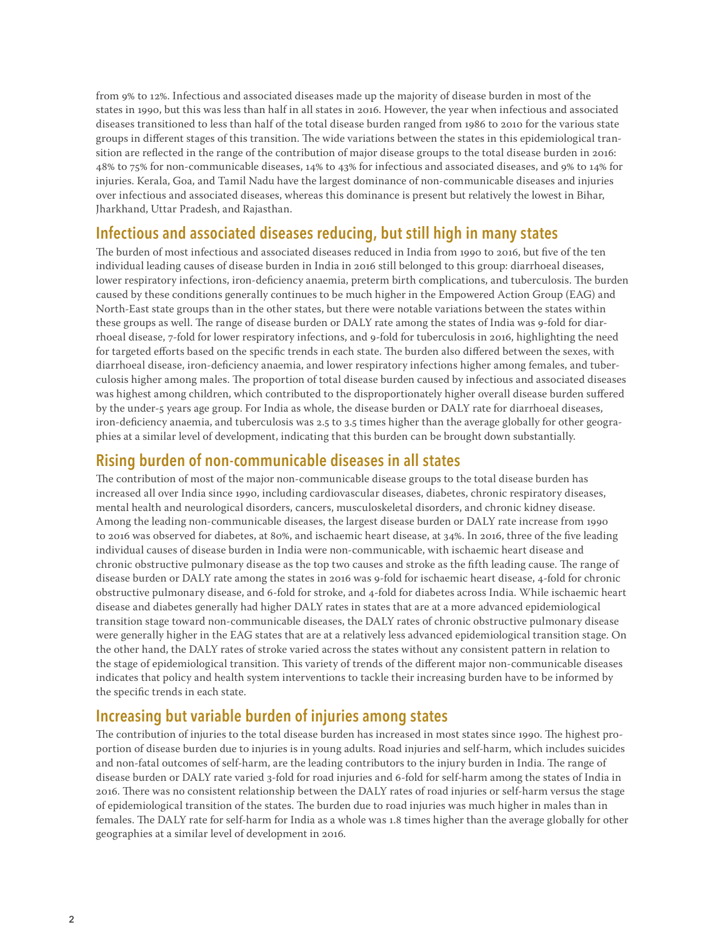from 9% to 12%. Infectious and associated diseases made up the majority of disease burden in most of the states in 1990, but this was less than half in all states in 2016. However, the year when infectious and associated diseases transitioned to less than half of the total disease burden ranged from 1986 to 2010 for the various state groups in different stages of this transition. The wide variations between the states in this epidemiological transition are reflected in the range of the contribution of major disease groups to the total disease burden in 2016: 48% to 75% for non-communicable diseases, 14% to 43% for infectious and associated diseases, and 9% to 14% for injuries. Kerala, Goa, and Tamil Nadu have the largest dominance of non-communicable diseases and injuries over infectious and associated diseases, whereas this dominance is present but relatively the lowest in Bihar, Jharkhand, Uttar Pradesh, and Rajasthan.

#### Infectious and associated diseases reducing, but still high in many states

The burden of most infectious and associated diseases reduced in India from 1990 to 2016, but five of the ten individual leading causes of disease burden in India in 2016 still belonged to this group: diarrhoeal diseases, lower respiratory infections, iron-deficiency anaemia, preterm birth complications, and tuberculosis. The burden caused by these conditions generally continues to be much higher in the Empowered Action Group (EAG) and North-East state groups than in the other states, but there were notable variations between the states within these groups as well. The range of disease burden or DALY rate among the states of India was 9-fold for diarrhoeal disease, 7-fold for lower respiratory infections, and 9-fold for tuberculosis in 2016, highlighting the need for targeted efforts based on the specific trends in each state. The burden also differed between the sexes, with diarrhoeal disease, iron-deficiency anaemia, and lower respiratory infections higher among females, and tuberculosis higher among males. The proportion of total disease burden caused by infectious and associated diseases was highest among children, which contributed to the disproportionately higher overall disease burden suffered by the under-5 years age group. For India as whole, the disease burden or DALY rate for diarrhoeal diseases, iron-deficiency anaemia, and tuberculosis was 2.5 to 3.5 times higher than the average globally for other geographies at a similar level of development, indicating that this burden can be brought down substantially.

#### Rising burden of non-communicable diseases in all states

The contribution of most of the major non-communicable disease groups to the total disease burden has increased all over India since 1990, including cardiovascular diseases, diabetes, chronic respiratory diseases, mental health and neurological disorders, cancers, musculoskeletal disorders, and chronic kidney disease. Among the leading non-communicable diseases, the largest disease burden or DALY rate increase from 1990 to 2016 was observed for diabetes, at 80%, and ischaemic heart disease, at 34%. In 2016, three of the five leading individual causes of disease burden in India were non-communicable, with ischaemic heart disease and chronic obstructive pulmonary disease as the top two causes and stroke as the fifth leading cause. The range of disease burden or DALY rate among the states in 2016 was 9-fold for ischaemic heart disease, 4-fold for chronic obstructive pulmonary disease, and 6-fold for stroke, and 4-fold for diabetes across India. While ischaemic heart disease and diabetes generally had higher DALY rates in states that are at a more advanced epidemiological transition stage toward non-communicable diseases, the DALY rates of chronic obstructive pulmonary disease were generally higher in the EAG states that are at a relatively less advanced epidemiological transition stage. On the other hand, the DALY rates of stroke varied across the states without any consistent pattern in relation to the stage of epidemiological transition. This variety of trends of the different major non-communicable diseases indicates that policy and health system interventions to tackle their increasing burden have to be informed by the specific trends in each state.

## Increasing but variable burden of injuries among states

The contribution of injuries to the total disease burden has increased in most states since 1990. The highest proportion of disease burden due to injuries is in young adults. Road injuries and self-harm, which includes suicides and non-fatal outcomes of self-harm, are the leading contributors to the injury burden in India. The range of disease burden or DALY rate varied 3-fold for road injuries and 6-fold for self-harm among the states of India in 2016. There was no consistent relationship between the DALY rates of road injuries or self-harm versus the stage of epidemiological transition of the states. The burden due to road injuries was much higher in males than in females. The DALY rate for self-harm for India as a whole was 1.8 times higher than the average globally for other geographies at a similar level of development in 2016.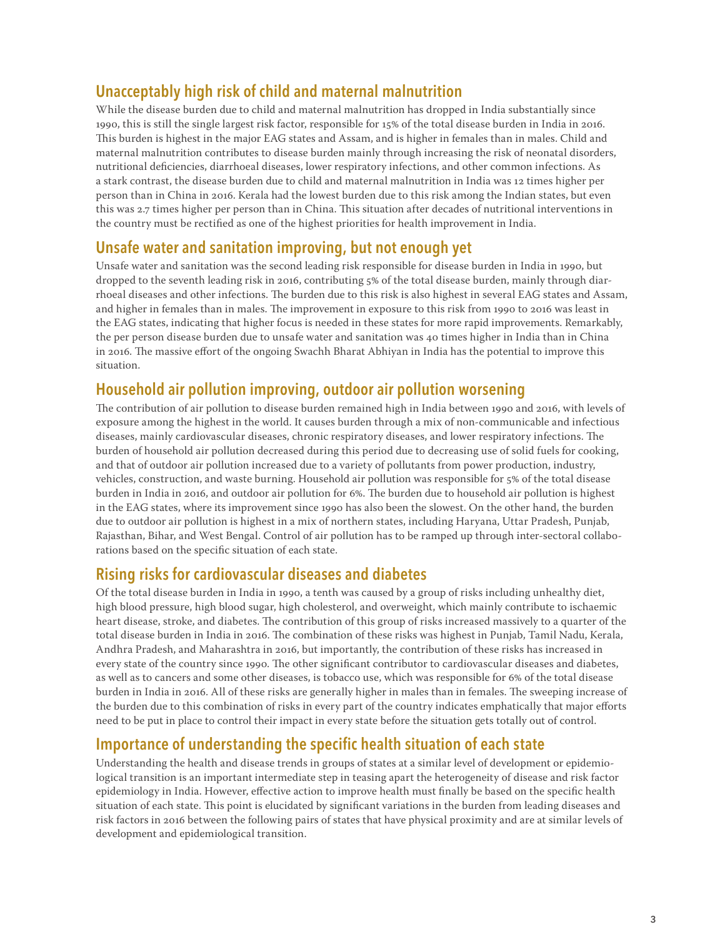# Unacceptably high risk of child and maternal malnutrition

While the disease burden due to child and maternal malnutrition has dropped in India substantially since 1990, this is still the single largest risk factor, responsible for 15% of the total disease burden in India in 2016. This burden is highest in the major EAG states and Assam, and is higher in females than in males. Child and maternal malnutrition contributes to disease burden mainly through increasing the risk of neonatal disorders, nutritional deficiencies, diarrhoeal diseases, lower respiratory infections, and other common infections. As a stark contrast, the disease burden due to child and maternal malnutrition in India was 12 times higher per person than in China in 2016. Kerala had the lowest burden due to this risk among the Indian states, but even this was 2.7 times higher per person than in China. This situation after decades of nutritional interventions in the country must be rectified as one of the highest priorities for health improvement in India.

## Unsafe water and sanitation improving, but not enough yet

Unsafe water and sanitation was the second leading risk responsible for disease burden in India in 1990, but dropped to the seventh leading risk in 2016, contributing 5% of the total disease burden, mainly through diarrhoeal diseases and other infections. The burden due to this risk is also highest in several EAG states and Assam, and higher in females than in males. The improvement in exposure to this risk from 1990 to 2016 was least in the EAG states, indicating that higher focus is needed in these states for more rapid improvements. Remarkably, the per person disease burden due to unsafe water and sanitation was 40 times higher in India than in China in 2016. The massive effort of the ongoing Swachh Bharat Abhiyan in India has the potential to improve this situation.

## Household air pollution improving, outdoor air pollution worsening

The contribution of air pollution to disease burden remained high in India between 1990 and 2016, with levels of exposure among the highest in the world. It causes burden through a mix of non-communicable and infectious diseases, mainly cardiovascular diseases, chronic respiratory diseases, and lower respiratory infections. The burden of household air pollution decreased during this period due to decreasing use of solid fuels for cooking, and that of outdoor air pollution increased due to a variety of pollutants from power production, industry, vehicles, construction, and waste burning. Household air pollution was responsible for 5% of the total disease burden in India in 2016, and outdoor air pollution for 6%. The burden due to household air pollution is highest in the EAG states, where its improvement since 1990 has also been the slowest. On the other hand, the burden due to outdoor air pollution is highest in a mix of northern states, including Haryana, Uttar Pradesh, Punjab, Rajasthan, Bihar, and West Bengal. Control of air pollution has to be ramped up through inter-sectoral collaborations based on the specific situation of each state.

## Rising risks for cardiovascular diseases and diabetes

Of the total disease burden in India in 1990, a tenth was caused by a group of risks including unhealthy diet, high blood pressure, high blood sugar, high cholesterol, and overweight, which mainly contribute to ischaemic heart disease, stroke, and diabetes. The contribution of this group of risks increased massively to a quarter of the total disease burden in India in 2016. The combination of these risks was highest in Punjab, Tamil Nadu, Kerala, Andhra Pradesh, and Maharashtra in 2016, but importantly, the contribution of these risks has increased in every state of the country since 1990. The other significant contributor to cardiovascular diseases and diabetes, as well as to cancers and some other diseases, is tobacco use, which was responsible for 6% of the total disease burden in India in 2016. All of these risks are generally higher in males than in females. The sweeping increase of the burden due to this combination of risks in every part of the country indicates emphatically that major efforts need to be put in place to control their impact in every state before the situation gets totally out of control.

## Importance of understanding the specific health situation of each state

Understanding the health and disease trends in groups of states at a similar level of development or epidemiological transition is an important intermediate step in teasing apart the heterogeneity of disease and risk factor epidemiology in India. However, effective action to improve health must finally be based on the specific health situation of each state. This point is elucidated by significant variations in the burden from leading diseases and risk factors in 2016 between the following pairs of states that have physical proximity and are at similar levels of development and epidemiological transition.